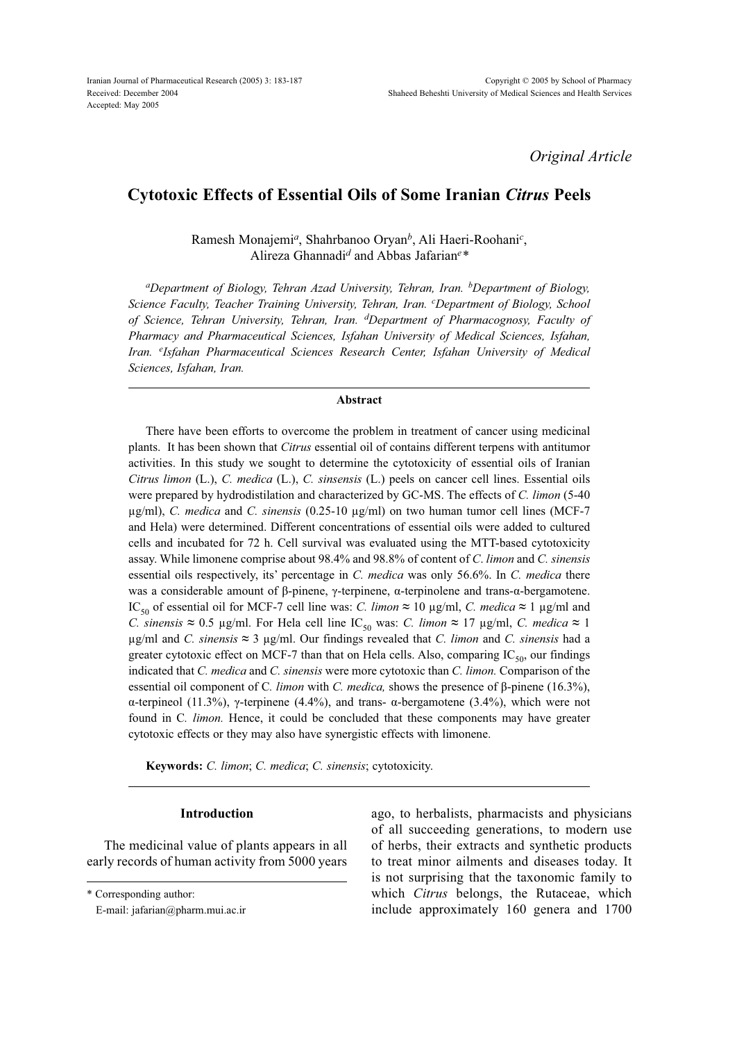*Original Article*

# **Cytotoxic Effects of Essential Oils of Some Iranian** *Citrus* **Peels**

Ramesh Monajemi*a*, Shahrbanoo Oryan*b*, Ali Haeri-Roohani*<sup>c</sup>* , Alireza Ghannadi*d* and Abbas Jafarian*<sup>e</sup> \**

*aDepartment of Biology, Tehran Azad University, Tehran, Iran. bDepartment of Biology, Science Faculty, Teacher Training University, Tehran, Iran. <sup>c</sup> Department of Biology, School of Science, Tehran University, Tehran, Iran. dDepartment of Pharmacognosy, Faculty of Pharmacy and Pharmaceutical Sciences, Isfahan University of Medical Sciences, Isfahan, Iran. <sup>e</sup> Isfahan Pharmaceutical Sciences Research Center, Isfahan University of Medical Sciences, Isfahan, Iran.*

#### **Abstract**

There have been efforts to overcome the problem in treatment of cancer using medicinal plants. It has been shown that *Citrus* essential oil of contains different terpens with antitumor activities. In this study we sought to determine the cytotoxicity of essential oils of Iranian *Citrus limon* (L.), *C. medica* (L.), *C. sinsensis* (L.) peels on cancer cell lines. Essential oils were prepared by hydrodistilation and characterized by GC-MS. The effects of *C. limon* (5-40 µg/ml), *C. medica* and *C. sinensis* (0.25-10 µg/ml) on two human tumor cell lines (MCF-7 and Hela) were determined. Different concentrations of essential oils were added to cultured cells and incubated for 72 h. Cell survival was evaluated using the MTT-based cytotoxicity assay. While limonene comprise about 98.4% and 98.8% of content of *C*. *limon* and *C. sinensis*  essential oils respectively, its' percentage in *C. medica* was only 56.6%. In *C. medica* there was a considerable amount of β-pinene, γ-terpinene,  $\alpha$ -terpinolene and trans- $\alpha$ -bergamotene. IC<sub>50</sub> of essential oil for MCF-7 cell line was: *C. limon* ≈ 10 µg/ml, *C. medica* ≈ 1 µg/ml and *C. sinensis* ≈ 0.5 µg/ml. For Hela cell line IC<sub>50</sub> was: *C. limon* ≈ 17 µg/ml, *C. medica* ≈ 1 µg/ml and *C. sinensis* **≈** 3 µg/ml. Our findings revealed that *C. limon* and *C. sinensis* had a greater cytotoxic effect on MCF-7 than that on Hela cells. Also, comparing  $IC_{50}$ , our findings indicated that *C. medica* and *C. sinensis* were more cytotoxic than *C. limon.* Comparison of the essential oil component of C*. limon* with *C. medica,* shows the presence of β-pinene (16.3%), α-terpineol (11.3%), γ-terpinene (4.4%), and trans- α-bergamotene (3.4%), which were not found in C. *limon*. Hence, it could be concluded that these components may have greater cytotoxic effects or they may also have synergistic effects with limonene.

**Keywords:** *C. limon*; *C. medica*; *C. sinensis*; cytotoxicity.

### **Introduction**

The medicinal value of plants appears in all early records of human activity from 5000 years

\* Corresponding author:

ago, to herbalists, pharmacists and physicians of all succeeding generations, to modern use of herbs, their extracts and synthetic products to treat minor ailments and diseases today. It is not surprising that the taxonomic family to which *Citrus* belongs, the Rutaceae, which include approximately 160 genera and 1700

E-mail: jafarian@pharm.mui.ac.ir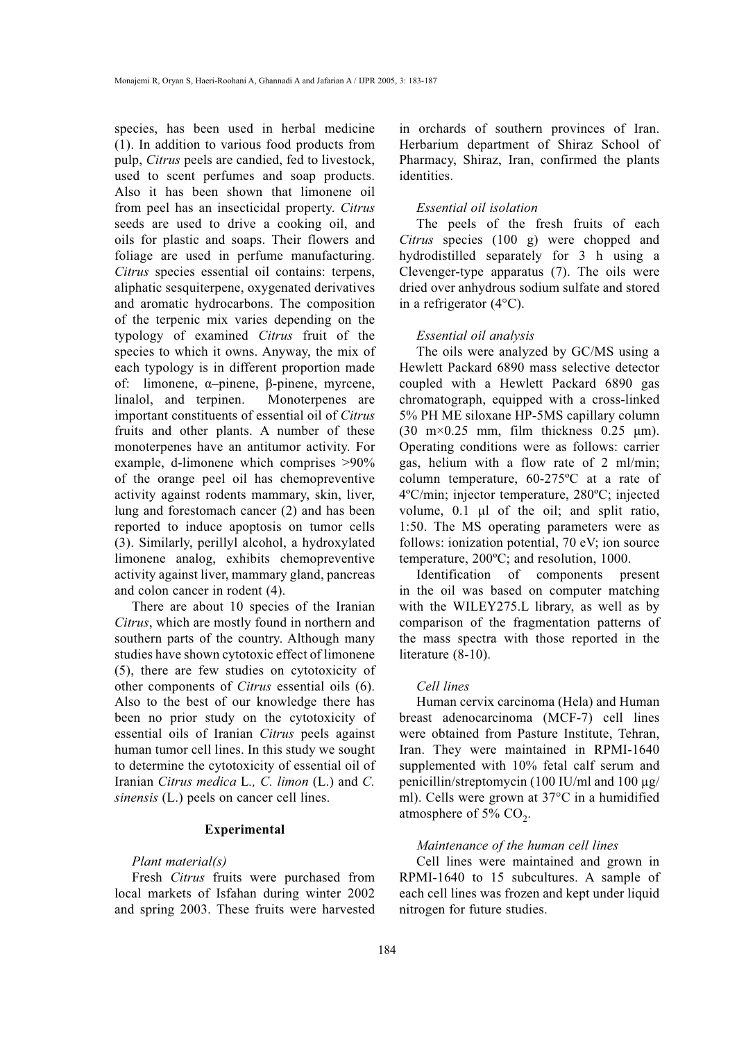species, has been used in herbal medicine (1). In addition to various food products from pulp, *Citrus* peels are candied, fed to livestock, used to scent perfumes and soap products. Also it has been shown that limonene oil from peel has an insecticidal property. *Citrus* seeds are used to drive a cooking oil, and oils for plastic and soaps. Their flowers and foliage are used in perfume manufacturing. *Citrus* species essential oil contains: terpens, aliphatic sesquiterpene, oxygenated derivatives and aromatic hydrocarbons. The composition of the terpenic mix varies depending on the typology of examined *Citrus* fruit of the species to which it owns. Anyway, the mix of each typology is in different proportion made of: limonene, α–pinene, β-pinene, myrcene, linalol, and terpinen. Monoterpenes are important constituents of essential oil of *Citrus* fruits and other plants. A number of these monoterpenes have an antitumor activity. For example, d-limonene which comprises >90% of the orange peel oil has chemopreventive activity against rodents mammary, skin, liver, lung and forestomach cancer (2) and has been reported to induce apoptosis on tumor cells (3). Similarly, perillyl alcohol, a hydroxylated limonene analog, exhibits chemopreventive activity against liver, mammary gland, pancreas and colon cancer in rodent (4).

There are about 10 species of the Iranian *Citrus*, which are mostly found in northern and southern parts of the country. Although many studies have shown cytotoxic effect of limonene (5), there are few studies on cytotoxicity of other components of *Citrus* essential oils (6). Also to the best of our knowledge there has been no prior study on the cytotoxicity of essential oils of Iranian *Citrus* peels against human tumor cell lines. In this study we sought to determine the cytotoxicity of essential oil of Iranian *Citrus medica* L*., C. limon* (L.) and *C. sinensis* (L.) peels on cancer cell lines.

## **Experimental**

### *Plant material(s)*

Fresh *Citrus* fruits were purchased from local markets of Isfahan during winter 2002 and spring 2003. These fruits were harvested in orchards of southern provinces of Iran. Herbarium department of Shiraz School of Pharmacy, Shiraz, Iran, confirmed the plants identities.

#### *Essential oil isolation*

The peels of the fresh fruits of each *Citrus* species (100 g) were chopped and hydrodistilled separately for 3 h using a Clevenger-type apparatus (7). The oils were dried over anhydrous sodium sulfate and stored in a refrigerator (4°C).

#### *Essential oil analysis*

The oils were analyzed by GC/MS using a Hewlett Packard 6890 mass selective detector coupled with a Hewlett Packard 6890 gas chromatograph, equipped with a cross-linked 5% PH ME siloxane HP-5MS capillary column (30 m $\times$ 0.25 mm, film thickness 0.25  $\mu$ m). Operating conditions were as follows: carrier gas, helium with a flow rate of 2 ml/min; column temperature, 60-275ºC at a rate of 4ºC/min; injector temperature, 280ºC; injected volume, 0.1 μl of the oil; and split ratio, 1:50. The MS operating parameters were as follows: ionization potential, 70 eV; ion source temperature, 200ºC; and resolution, 1000.

Identification of components present in the oil was based on computer matching with the WILEY275.L library, as well as by comparison of the fragmentation patterns of the mass spectra with those reported in the literature (8-10).

# *Cell lines*

Human cervix carcinoma (Hela) and Human breast adenocarcinoma (MCF-7) cell lines were obtained from Pasture Institute, Tehran, Iran. They were maintained in RPMI-1640 supplemented with 10% fetal calf serum and penicillin/streptomycin (100 IU/ml and 100 µg/ ml). Cells were grown at 37°C in a humidified atmosphere of 5%  $CO<sub>2</sub>$ .

# *Maintenance of the human cell lines*

Cell lines were maintained and grown in RPMI-1640 to 15 subcultures. A sample of each cell lines was frozen and kept under liquid nitrogen for future studies.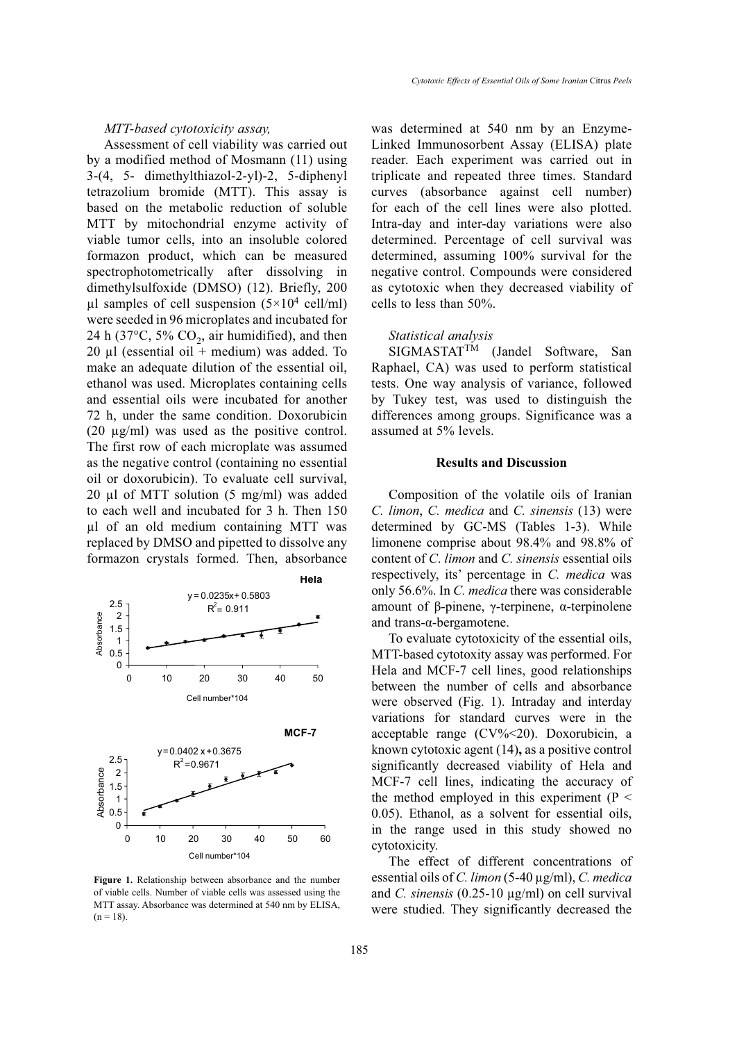Assessment of cell viability was carried out by a modified method of Mosmann (11) using 3-(4, 5- dimethylthiazol-2-yl)-2, 5-diphenyl tetrazolium bromide (MTT). This assay is based on the metabolic reduction of soluble MTT by mitochondrial enzyme activity of viable tumor cells, into an insoluble colored formazon product, which can be measured spectrophotometrically after dissolving in dimethylsulfoxide (DMSO) (12). Briefly, 200  $\mu$ l samples of cell suspension (5×10<sup>4</sup> cell/ml) were seeded in 96 microplates and incubated for 24 h (37 $\degree$ C, 5% CO<sub>2</sub>, air humidified), and then 20  $\mu$ l (essential oil + medium) was added. To make an adequate dilution of the essential oil, ethanol was used. Microplates containing cells and essential oils were incubated for another 72 h, under the same condition. Doxorubicin (20 µg/ml) was used as the positive control. The first row of each microplate was assumed as the negative control (containing no essential oil or doxorubicin). To evaluate cell survival, 20 µl of MTT solution (5 mg/ml) was added to each well and incubated for 3 h. Then 150 µl of an old medium containing MTT was replaced by DMSO and pipetted to dissolve any formazon crystals formed. Then, absorbance



**Figure 1.** Relationship between absorbance and the number of viable cells. Number of viable cells was assessed using the MTT assay. Absorbance was determined at 540 nm by ELISA,  $(n = 18)$ .

was determined at 540 nm by an Enzyme-Linked Immunosorbent Assay (ELISA) plate reader. Each experiment was carried out in triplicate and repeated three times. Standard curves (absorbance against cell number) for each of the cell lines were also plotted. Intra-day and inter-day variations were also determined. Percentage of cell survival was determined, assuming 100% survival for the negative control. Compounds were considered as cytotoxic when they decreased viability of cells to less than 50%.

#### *Statistical analysis*

SIGMASTATTM (Jandel Software, San Raphael, CA) was used to perform statistical tests. One way analysis of variance, followed by Tukey test, was used to distinguish the differences among groups. Significance was a assumed at 5% levels.

### **Results and Discussion**

Composition of the volatile oils of Iranian *C. limon*, *C. medica* and *C. sinensis* (13) were determined by GC-MS (Tables 1-3). While limonene comprise about 98.4% and 98.8% of content of *C*. *limon* and *C. sinensis* essential oils respectively, its' percentage in *C. medica* was only 56.6%. In *C. medica* there was considerable amount of β-pinene, γ-terpinene, α-terpinolene and trans-α-bergamotene.

To evaluate cytotoxicity of the essential oils, MTT-based cytotoxity assay was performed. For Hela and MCF-7 cell lines, good relationships between the number of cells and absorbance were observed (Fig. 1). Intraday and interday variations for standard curves were in the acceptable range (CV%<20). Doxorubicin, a known cytotoxic agent (14)**,** as a positive control significantly decreased viability of Hela and MCF-7 cell lines, indicating the accuracy of the method employed in this experiment ( $P \leq$ 0.05). Ethanol, as a solvent for essential oils, in the range used in this study showed no cytotoxicity.

The effect of different concentrations of essential oils of *C. limon* (5-40 µg/ml), *C. medica* and *C. sinensis* (0.25-10 µg/ml) on cell survival were studied. They significantly decreased the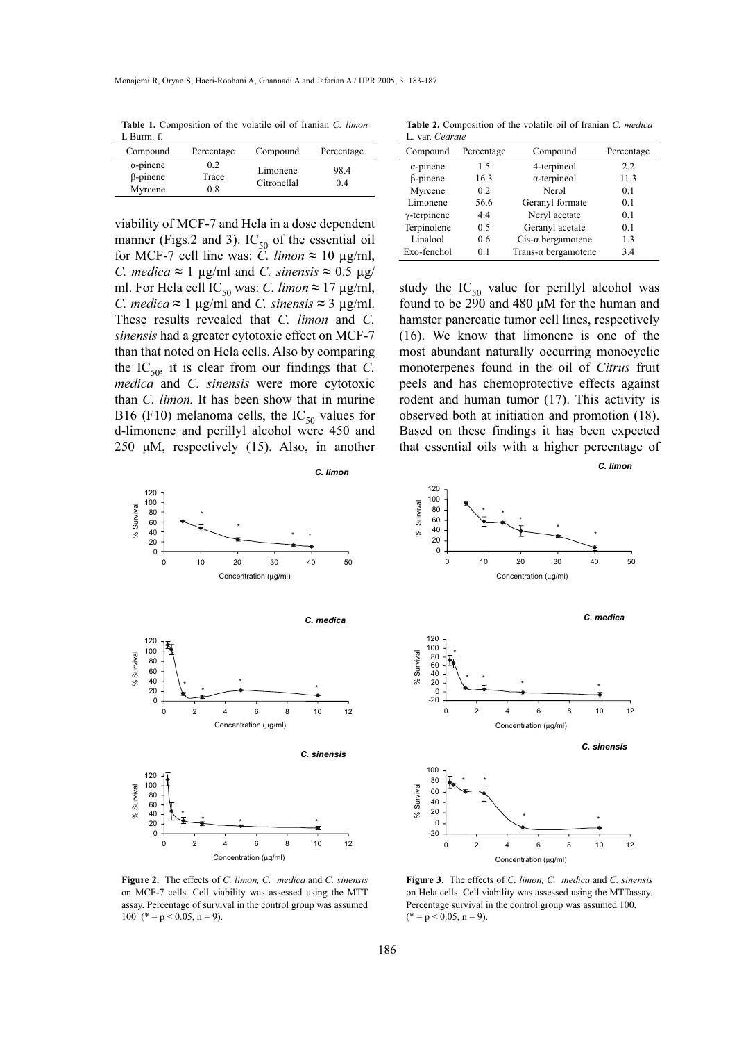**Table 1.** Composition of the volatile oil of Iranian *C. limon*  L Burm. f.

| Compound<br>Compound<br>Percentage                                                        |                  |     |            |
|-------------------------------------------------------------------------------------------|------------------|-----|------------|
|                                                                                           |                  |     | Percentage |
| 98.4<br>Limonene<br>$\beta$ -pinene<br>Trace<br>Citronellal<br>0.4<br>$_{0.8}$<br>Myrcene | $\alpha$ -pinene | 0.2 |            |

viability of MCF-7 and Hela in a dose dependent manner (Figs.2 and 3).  $IC_{50}$  of the essential oil for MCF-7 cell line was: *C. limon*  $\approx 10 \text{ µg/ml}$ , *C. medica* ≈ 1 µg/ml and *C. sinensis* ≈ 0.5 µg/ ml. For Hela cell IC<sub>50</sub> was: *C. limon*  $\approx$  17 µg/ml, *C. medica* **≈** 1 µg/ml and *C. sinensis* **≈** 3 µg/ml. These results revealed that *C. limon* and *C. sinensis* had a greater cytotoxic effect on MCF-7 than that noted on Hela cells. Also by comparing the  $IC_{50}$ , it is clear from our findings that *C*. *medica* and *C. sinensis* were more cytotoxic than *C. limon.* It has been show that in murine B16 (F10) melanoma cells, the  $IC_{50}$  values for d-limonene and perillyl alcohol were 450 and 250 μM, respectively (15). Also, in another

**Table 2.** Composition of the volatile oil of Iranian *C. medica*  L*.* var. *Cedrate* 

| Compound            | Percentage | Compound                    | Percentage |
|---------------------|------------|-----------------------------|------------|
| $\alpha$ -pinene    | 15         | 4-terpineol                 | 2.2        |
| β-pinene            | 16.3       | $\alpha$ -terpineol         | 11.3       |
| Myrcene             | 0.2        | Nerol                       | 0.1        |
| Limonene            | 56.6       | Geranyl formate             | 0.1        |
| $\gamma$ -terpinene | 4.4        | Neryl acetate               | 0.1        |
| Terpinolene         | 0.5        | Geranyl acetate             | 0.1        |
| Linalool            | 0.6        | $Cis-\alpha$ bergamotene    | 1.3        |
| Exo-fenchol         | 01         | Trans- $\alpha$ bergamotene | 3.4        |
|                     |            |                             |            |

study the  $IC_{50}$  value for perillyl alcohol was found to be  $290$  and  $480 \mu M$  for the human and hamster pancreatic tumor cell lines, respectively (16). We know that limonene is one of the most abundant naturally occurring monocyclic monoterpenes found in the oil of *Citrus* fruit peels and has chemoprotective effects against rodent and human tumor (17). This activity is observed both at initiation and promotion (18). Based on these findings it has been expected that essential oils with a higher percentage of

0 10 20 30 40 50

\* \*

\* \* \*

*C. limon*



Concentration (µg/ml) *C. medica* 120 80 100 % Survival \* % Survival 40 60 \* \* \* \* 20  $\tilde{0}$ -20 0 2 4 6 8 10 12 Concentration (µg/ml) *C. sinensis* 100 80 \* \* Survival % Survival 60 40 20  $\mathcal{S}$ \* \* 0 -20 0 2 4 6 8 10 12

**Figure 2.** The effects of *C. limon, C. medica* and *C. sinensis* on MCF-7 cells. Cell viability was assessed using the MTT assay. Percentage of survival in the control group was assumed 100 (\* = p < 0.05, n = 9).

**Figure 3.** The effects of *C. limon, C. medica* and *C. sinensis* on Hela cells. Cell viability was assessed using the MTTassay. Percentage survival in the control group was assumed 100,  $(* = p < 0.05, n = 9).$ 

Concentration (µg/ml)

% Survival

 $\geqslant$ 

Survival